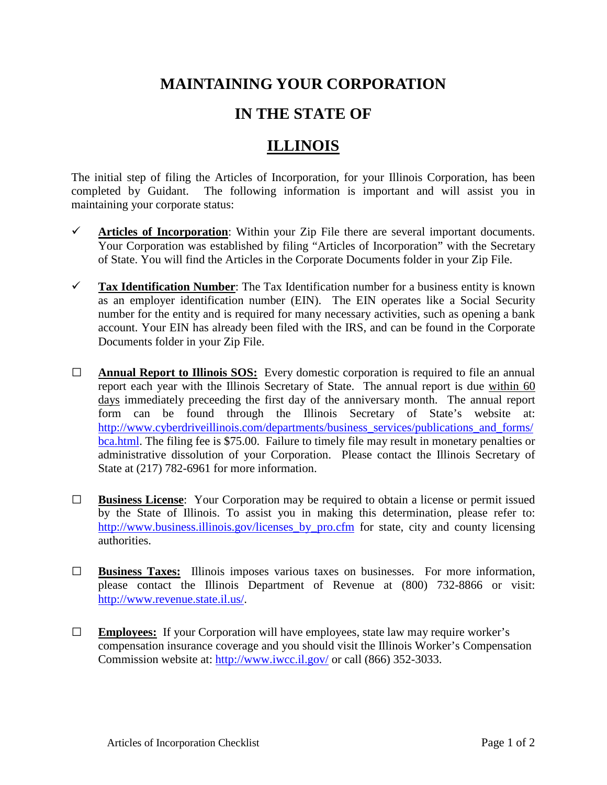## **MAINTAINING YOUR CORPORATION**

## **IN THE STATE OF**

## **ILLINOIS**

The initial step of filing the Articles of Incorporation, for your Illinois Corporation, has been completed by Guidant. The following information is important and will assist you in maintaining your corporate status:

- $\checkmark$  Articles of Incorporation: Within your Zip File there are several important documents. Your Corporation was established by filing "Articles of Incorporation" with the Secretary of State. You will find the Articles in the Corporate Documents folder in your Zip File.
- **Tax Identification Number**: The Tax Identification number for a business entity is known as an employer identification number (EIN). The EIN operates like a Social Security number for the entity and is required for many necessary activities, such as opening a bank account. Your EIN has already been filed with the IRS, and can be found in the Corporate Documents folder in your Zip File.
- **□ Annual Report to Illinois SOS:** Every domestic corporation is required to file an annual report each year with the Illinois Secretary of State. The annual report is due within 60 days immediately preceeding the first day of the anniversary month. The annual report form can be found through the Illinois Secretary of State's website at: [http://www.cyberdriveillinois.com/departments/business\\_services/publications\\_and\\_forms/](http://www.cyberdriveillinois.com/departments/business_services/publications_and_forms/bca.html) [bca.html.](http://www.cyberdriveillinois.com/departments/business_services/publications_and_forms/bca.html) The filing fee is \$75.00. Failure to timely file may result in monetary penalties or administrative dissolution of your Corporation. Please contact the Illinois Secretary of State at (217) 782-6961 for more information.
- **□ Business License**: Your Corporation may be required to obtain a license or permit issued by the State of Illinois. To assist you in making this determination, please refer to: [http://www.business.illinois.gov/licenses\\_by\\_pro.cfm](http://www.business.illinois.gov/licenses_by_pro.cfm) for state, city and county licensing authorities.
- **□ Business Taxes:** Illinois imposes various taxes on businesses. For more information, please contact the Illinois Department of Revenue at (800) 732-8866 or visit: [http://www.revenue.state.il.us/.](http://www.revenue.state.il.us/)
- **□ Employees:** If your Corporation will have employees, state law may require worker's compensation insurance coverage and you should visit the Illinois Worker's Compensation Commission website at:<http://www.iwcc.il.gov/> or call (866) 352-3033.